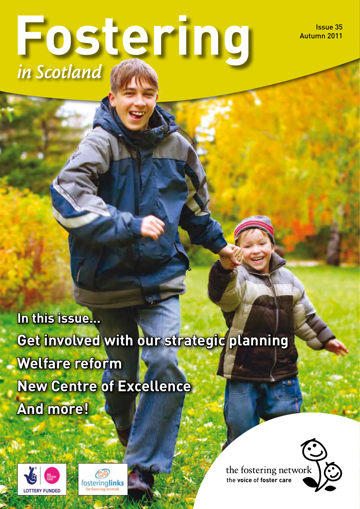Issue 35 Autumn 2011

# **Fostering** *in Scotland*

**In this issue… Get involved with our strategic planning Welfare reform New Centre of Excellence And more!**





the fostering network the **voice** of **foster care**

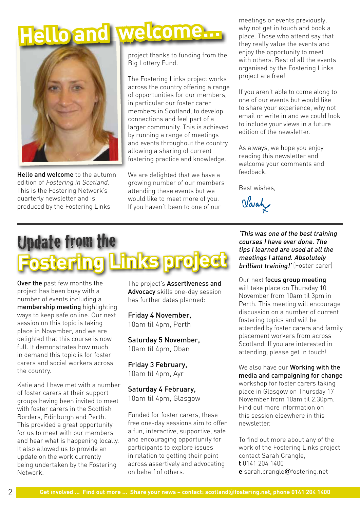# **Hello and welcome...**



Hello and welcome to the autumn edition of Fostering in Scotland. This is the Fostering Network's quarterly newsletter and is produced by the Fostering Links

project thanks to funding from the Big Lottery Fund.

The Fostering Links project works across the country offering a range of opportunities for our members, in particular our foster carer members in Scotland, to develop connections and feel part of a larger community. This is achieved by running a range of meetings and events throughout the country allowing a sharing of current fostering practice and knowledge.

We are delighted that we have a growing number of our members attending these events but we would like to meet more of you. If you haven't been to one of our

meetings or events previously, why not get in touch and book a place. Those who attend say that they really value the events and enjoy the opportunity to meet with others. Best of all the events organised by the Fostering Links project are free!

If you aren't able to come along to one of our events but would like to share your experience, why not email or write in and we could look to include your views in a future edition of the newsletter.

As always, we hope you enjoy reading this newsletter and welcome your comments and feedback.

Best wishes,

Varah

## Update from the **Fostering Links project**

Over the past few months the project has been busy with a number of events including a membership meeting highlighting ways to keep safe online. Our next session on this topic is taking place in November, and we are delighted that this course is now full. It demonstrates how much in demand this topic is for foster carers and social workers across the country.

Katie and I have met with a number of foster carers at their support groups having been invited to meet with foster carers in the Scottish Borders, Edinburgh and Perth. This provided a great opportunity for us to meet with our members and hear what is happening locally. It also allowed us to provide an update on the work currently being undertaken by the Fostering Network.

The project's Assertiveness and Advocacy skills one-day session has further dates planned:

Friday 4 November, 10am til 4pm, Perth

Saturday 5 November, 10am til 4pm, Oban

Friday 3 February, 10am til 4pm, Ayr

Saturday 4 February, 10am til 4pm, Glasgow

Funded for foster carers, these free one-day sessions aim to offer a fun, interactive, supportive, safe and encouraging opportunity for participants to explore issues in relation to getting their point across assertively and advocating on behalf of others.

'This was one of the best training courses I have ever done. The tips I learned are used at all the meetings I attend. Absolutely brilliant training!' (Foster carer)

Our next focus group meeting will take place on Thursday 10 November from 10am til 3pm in Perth. This meeting will encourage discussion on a number of current fostering topics and will be attended by foster carers and family placement workers from across Scotland. If you are interested in attending, please get in touch!

We also have our Working with the media and campaigning for change workshop for foster carers taking place in Glasgow on Thursday 17 November from 10am til 2.30pm. Find out more information on this session elsewhere in this newsletter.

To find out more about any of the work of the Fostering Links project contact Sarah Crangle, **t** 0141 204 1400 **e** sarah.crangle@fostering.net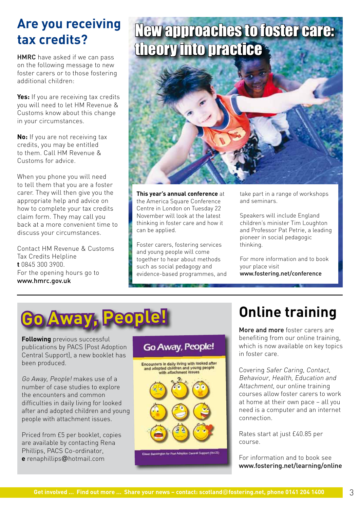### **Are you receiving tax credits?**

HMRC have asked if we can pass on the following message to new foster carers or to those fostering additional children:

**Yes:** If you are receiving tax credits you will need to let HM Revenue & Customs know about this change in your circumstances.

**No:** If you are not receiving tax credits, you may be entitled to them. Call HM Revenue & Customs for advice.

When you phone you will need to tell them that you are a foster carer. They will then give you the appropriate help and advice on how to complete your tax credits claim form. They may call you back at a more convenient time to discuss your circumstances.

Contact HM Revenue & Customs Tax Credits Helpline **t** 0845 300 3900. For the opening hours go to www.hmrc.gov.uk

## New approaches to foster care: theory into practice



**This year's annual conference** at the America Square Conference Centre in London on Tuesday 22 November will look at the latest thinking in foster care and how it can be applied.

Foster carers, fostering services and young people will come together to hear about methods such as social pedagogy and evidence-based programmes, and take part in a range of workshops and seminars.

Speakers will include England children's minister Tim Loughton and Professor Pat Petrie, a leading pioneer in social pedagogic thinking.

For more information and to book your place visit www.fostering.net/conference



**Following** previous successful publications by PACS (Post Adoption Central Support), a new booklet has been produced.

Go Away, People! makes use of a number of case studies to explore the encounters and common difficulties in daily living for looked after and adopted children and young people with attachment issues.

Priced from £5 per booklet, copies are available by contacting Rena Phillips, PACS Co-ordinator, **e** renaphillips@hotmail.com



## **Online training**

More and more foster carers are benefiting from our online training, which is now available on key topics in foster care.

Covering Safer Caring, Contact, Behaviour, Health, Education and Attachment, our online training courses allow foster carers to work at home at their own pace – all you need is a computer and an internet connection.

Rates start at just £40.85 per course.

For information and to book see www.fostering.net/learning/online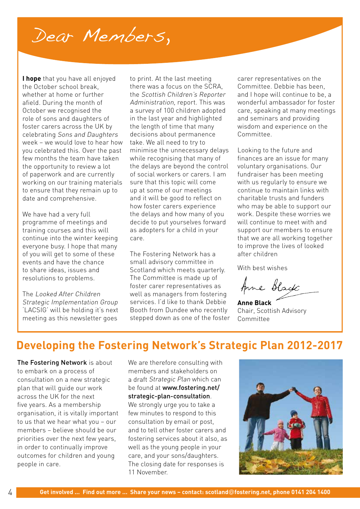## Dear Members,

**I hope** that you have all enjoyed the October school break, whether at home or further afield. During the month of October we recognised the role of sons and daughters of foster carers across the UK by celebrating Sons and Daughters week – we would love to hear how you celebrated this. Over the past few months the team have taken the opportunity to review a lot of paperwork and are currently working on our training materials to ensure that they remain up to date and comprehensive.

We have had a very full programme of meetings and training courses and this will continue into the winter keeping everyone busy. I hope that many of you will get to some of these events and have the chance to share ideas, issues and resolutions to problems.

The Looked After Children Strategic Implementation Group 'LACSIG' will be holding it's next meeting as this newsletter goes

to print. At the last meeting there was a focus on the SCRA, the Scottish Children's Reporter Administration, report. This was a survey of 100 children adopted in the last year and highlighted the length of time that many decisions about permanence take. We all need to try to minimise the unnecessary delays while recognising that many of the delays are beyond the control of social workers or carers. I am sure that this topic will come up at some of our meetings and it will be good to reflect on how foster carers experience the delays and how many of you decide to put yourselves forward as adopters for a child in your care.

The Fostering Network has a small advisory committee in Scotland which meets quarterly. The Committee is made up of foster carer representatives as well as managers from fostering services. I'd like to thank Debbie Booth from Dundee who recently stepped down as one of the foster carer representatives on the Committee. Debbie has been, and I hope will continue to be, a wonderful ambassador for foster care, speaking at many meetings and seminars and providing wisdom and experience on the Committee.

Looking to the future and finances are an issue for many voluntary organisations. Our fundraiser has been meeting with us regularly to ensure we continue to maintain links with charitable trusts and funders who may be able to support our work. Despite these worries we will continue to meet with and support our members to ensure that we are all working together to improve the lives of looked after children

With best wishes

Anne Black

**Anne Black** Chair, Scottish Advisory Committee

### **Developing the Fostering Network's Strategic Plan 2012-2017**

The Fostering Network is about to embark on a process of consultation on a new strategic plan that will guide our work across the UK for the next five years. As a membership organisation, it is vitally important to us that we hear what you – our members – believe should be our priorities over the next few years, in order to continually improve outcomes for children and young people in care.

We are therefore consulting with members and stakeholders on a draft Strategic Plan which can be found at www.fostering.net/ strategic-plan-consultation.

We strongly urge you to take a few minutes to respond to this consultation by email or post, and to tell other foster carers and fostering services about it also, as well as the young people in your care, and your sons/daughters. The closing date for responses is 11 November.

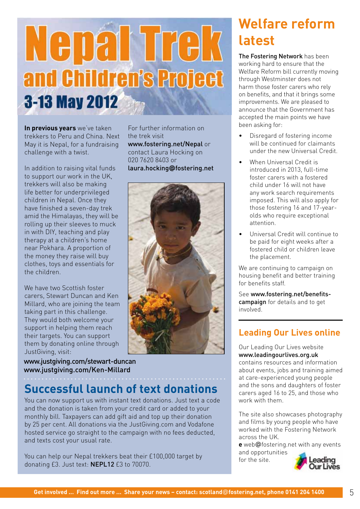# Nepal Trek and Children's Project 3-13 May 2012

**In previous years** we've taken trekkers to Peru and China. Next May it is Nepal, for a fundraising challenge with a twist.

In addition to raising vital funds to support our work in the UK, trekkers will also be making life better for underprivileged children in Nepal. Once they have finished a seven-day trek amid the Himalayas, they will be rolling up their sleeves to muck in with DIY, teaching and play therapy at a children's home near Pokhara. A proportion of the money they raise will buy clothes, toys and essentials for the children.

We have two Scottish foster carers, Stewart Duncan and Ken Millard, who are joining the team taking part in this challenge. They would both welcome your support in helping them reach their targets. You can support them by donating online through JustGiving, visit:

www.justgiving.com/stewart-duncan www.justgiving.com/Ken-Millard

**Successful launch of text donations**

You can now support us with instant text donations. Just text a code and the donation is taken from your credit card or added to your monthly bill. Taxpayers can add gift aid and top up their donation by 25 per cent. All donations via the JustGiving.com and Vodafone hosted service go straight to the campaign with no fees deducted, and texts cost your usual rate.

You can help our Nepal trekkers beat their £100,000 target by donating £3. Just text: NEPL12 £3 to 70070.

For further information on the trek visit www.fostering.net/Nepal or contact Laura Hocking on 020 7620 8403 or laura.hocking**@**fostering.net



## **Welfare reform latest**

The Fostering Network has been working hard to ensure that the Welfare Reform bill currently moving through Westminster does not harm those foster carers who rely on benefits, and that it brings some improvements. We are pleased to announce that the Government has accepted the main points we have been asking for:

- Disregard of fostering income will be continued for claimants under the new Universal Credit.
- When Universal Credit is introduced in 2013, full-time foster carers with a fostered child under 16 will not have any work search requirements imposed. This will also apply for those fostering 16 and 17-yearolds who require exceptional attention.
- Universal Credit will continue to be paid for eight weeks after a fostered child or children leave the placement.

We are continuing to campaign on housing benefit and better training for benefits staff.

See www.fostering.net/benefitscampaign for details and to get involved.

### **Leading Our Lives online**

Our Leading Our Lives website www.leadingourlives.org.uk contains resources and information about events, jobs and training aimed at care-experienced young people and the sons and daughters of foster carers aged 16 to 25, and those who work with them.

The site also showcases photography and films by young people who have worked with the Fostering Network across the UK.

**e** web@fostering.net with any events and opportunities for the site.

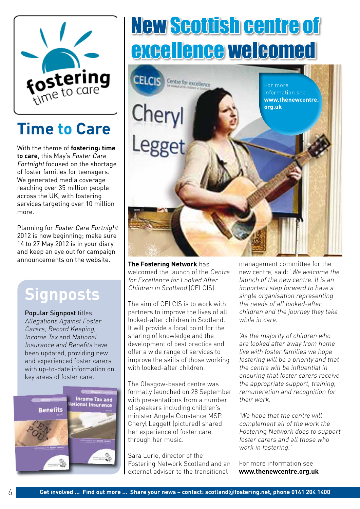

## **Time to Care**

With the theme of **fostering: time to care**, this May's Foster Care Fortnight focused on the shortage of foster families for teenagers. We generated media coverage reaching over 35 million people across the UK, with fostering services targeting over 10 million more.

Planning for Foster Care Fortnight 2012 is now beginning; make sure 14 to 27 May 2012 is in your diary and keep an eye out for campaign announcements on the website.

## **Signposts**

Popular Signpost titles Allegations Against Foster Carers, Record Keeping, Income Tax and National Insurance and Benefits have been updated, providing new and experienced foster carers with up-to-date information on key areas of foster care.



# New Scottish centre of excellence welcomed



**The Fostering Network** has welcomed the launch of the Centre for Excellence for Looked After Children in Scotland (CELCIS).

The aim of CELCIS is to work with partners to improve the lives of all looked-after children in Scotland. It will provide a focal point for the sharing of knowledge and the development of best practice and offer a wide range of services to improve the skills of those working with looked-after children.

The Glasgow-based centre was formally launched on 28 September with presentations from a number of speakers including children's minister Angela Constance MSP. Cheryl Leggett (pictured) shared her experience of foster care through her music.

Sara Lurie, director of the Fostering Network Scotland and an external adviser to the transitional

management committee for the new centre, said: 'We welcome the launch of the new centre. It is an important step forward to have a single organisation representing the needs of all looked-after children and the journey they take while in care.

'As the majority of children who are looked after away from home live with foster families we hope fostering will be a priority and that the centre will be influential in ensuring that foster carers receive the appropriate support, training, remuneration and recognition for their work.

'We hope that the centre will complement all of the work the Fostering Network does to support foster carers and all those who work in fostering.'

For more information see **www.thenewcentre.org.uk**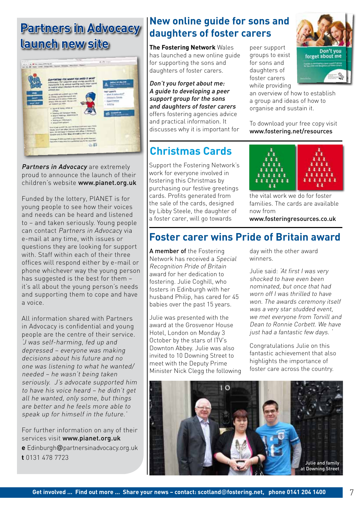### **Partners in Advocacy launch new site**



Partners in Advocacy are extremely proud to announce the launch of their children's website www.pianet.org.uk

Funded by the lottery, PIANET is for young people to see how their voices and needs can be heard and listened to – and taken seriously. Young people can contact Partners in Advocacy via e-mail at any time, with issues or questions they are looking for support with. Staff within each of their three offices will respond either by e-mail or phone whichever way the young person has suggested is the best for them – it's all about the young person's needs and supporting them to cope and have a voice.

All information shared with Partners in Advocacy is confidential and young people are the centre of their service. 'J was self-harming, fed up and depressed – everyone was making decisions about his future and no one was listening to what he wanted/ needed – he wasn't being taken seriously. J's advocate supported him to have his voice heard – he didn't get all he wanted, only some, but things are better and he feels more able to speak up for himself in the future.'

For further information on any of their services visit www.pianet.org.uk **e** Edinburgh@partnersinadvocacy.org.uk **t** 0131 478 7723

### **New online guide for sons and daughters of foster carers**

**The Fostering Network** Wales has launched a new online guide for supporting the sons and daughters of foster carers.

Don't you forget about me: A guide to developing a peer support group for the sons and daughters of foster carers offers fostering agencies advice and practical information. It discusses why it is important for

### **Christmas Cards**

Support the Fostering Network's work for everyone involved in fostering this Christmas by purchasing our festive greetings cards. Profits generated from the sale of the cards, designed by Libby Steele, the daughter of a foster carer, will go towards

peer support groups to exist for sons and daughters of foster carers while providing



an overview of how to establish a group and ideas of how to organise and sustain it.

To download your free copy visit www.fostering.net/resources



the vital work we do for foster families. The cards are available now from

www.fosteringresources.co.uk

### **Foster carer wins Pride of Britain award**

A member of the Fostering Network has received a Special Recognition Pride of Britain award for her dedication to fostering. Julie Coghill, who fosters in Edinburgh with her husband Philip, has cared for 45 babies over the past 15 years.

Julie was presented with the award at the Grosvenor House Hotel, London on Monday 3 October by the stars of ITV's Downton Abbey. Julie was also invited to 10 Downing Street to meet with the Deputy Prime Minister Nick Clegg the following day with the other award winners.

Julie said: 'At first I was very shocked to have even been nominated, but once that had worn off I was thrilled to have won. The awards ceremony itself was a very star studded event, we met everyone from Torvill and Dean to Ronnie Corbett. We have just had a fantastic few days. '

Congratulations Julie on this fantastic achievement that also highlights the importance of foster care across the country.

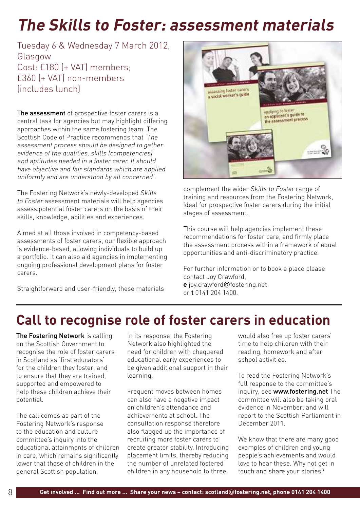## **The Skills to Foster: assessment materials**

Tuesday 6 & Wednesday 7 March 2012, Glasgow Cost: £180 (+ VAT) members; £360 (+ VAT) non-members (includes lunch)

The assessment of prospective foster carers is a central task for agencies but may highlight differing approaches within the same fostering team. The Scottish Code of Practice recommends that 'The assessment process should be designed to gather evidence of the qualities, skills (competencies) and aptitudes needed in a foster carer. It should have objective and fair standards which are applied uniformly and are understood by all concerned'.

The Fostering Network's newly-developed Skills to Foster assessment materials will help agencies assess potential foster carers on the basis of their skills, knowledge, abilities and experiences.

Aimed at all those involved in competency-based assessments of foster carers, our flexible approach is evidence-based, allowing individuals to build up a portfolio. It can also aid agencies in implementing ongoing professional development plans for foster carers.

Straightforward and user-friendly, these materials



complement the wider Skills to Foster range of training and resources from the Fostering Network, ideal for prospective foster carers during the initial stages of assessment.

This course will help agencies implement these recommendations for foster care, and firmly place the assessment process within a framework of equal opportunities and anti-discriminatory practice.

For further information or to book a place please contact Joy Crawford, **e** joy.crawford@fostering.net or **t** 0141 204 1400.

### **Call to recognise role of foster carers in education**

The Fostering Network is calling on the Scottish Government to recognise the role of foster carers in Scotland as 'first educators' for the children they foster, and to ensure that they are trained, supported and empowered to help these children achieve their potential.

The call comes as part of the Fostering Network's response to the education and culture committee's inquiry into the educational attainments of children in care, which remains significantly lower that those of children in the general Scottish population.

In its response, the Fostering Network also highlighted the need for children with chequered educational early experiences to be given additional support in their learning.

Frequent moves between homes can also have a negative impact on children's attendance and achievements at school. The consultation response therefore also flagged up the importance of recruiting more foster carers to create greater stability. Introducing placement limits, thereby reducing the number of unrelated fostered children in any household to three,

would also free up foster carers' time to help children with their reading, homework and after school activities.

To read the Fostering Network's full response to the committee's inquiry, see www.fostering.net The committee will also be taking oral evidence in November, and will report to the Scottish Parliament in December 2011.

We know that there are many good examples of children and young people's achievements and would love to hear these. Why not get in touch and share your stories?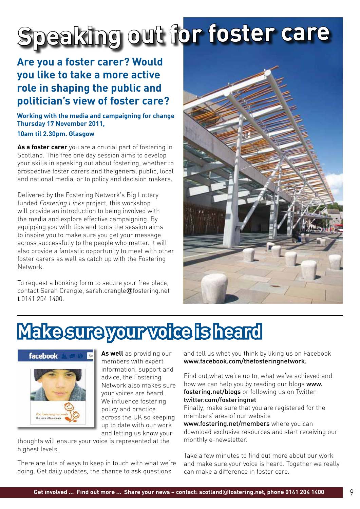# **Speaking out for foster care**

### **Are you a foster carer? Would you like to take a more active role in shaping the public and politician's view of foster care?**

### **Working with the media and campaigning for change Thursday 17 November 2011,**

### **10am til 2.30pm. Glasgow**

**As a foster carer** you are a crucial part of fostering in Scotland. This free one day session aims to develop your skills in speaking out about fostering, whether to prospective foster carers and the general public, local and national media, or to policy and decision makers.

Delivered by the Fostering Network's Big Lottery funded Fostering Links project, this workshop will provide an introduction to being involved with the media and explore effective campaigning. By equipping you with tips and tools the session aims to inspire you to make sure you get your message across successfully to the people who matter. It will also provide a fantastic opportunity to meet with other foster carers as well as catch up with the Fostering Network.

To request a booking form to secure your free place, contact Sarah Crangle, sarah.crangle@fostering.net **t** 0141 204 1400.



## **Make sure your voice is heard**



**As well** as providing our members with expert information, support and advice, the Fostering Network also makes sure your voices are heard. We influence fostering policy and practice across the UK so keeping up to date with our work and letting us know your

thoughts will ensure your voice is represented at the highest levels.

There are lots of ways to keep in touch with what we're doing. Get daily updates, the chance to ask questions

and tell us what you think by liking us on Facebook www.facebook.com/thefosteringnetwork.

Find out what we're up to, what we've achieved and how we can help you by reading our blogs www. fostering.net/blogs or following us on Twitter twitter.com/fosteringnet

Finally, make sure that you are registered for the members' area of our website

www.fostering.net/members where you can download exclusive resources and start receiving our monthly e-newsletter.

Take a few minutes to find out more about our work and make sure your voice is heard. Together we really can make a difference in foster care.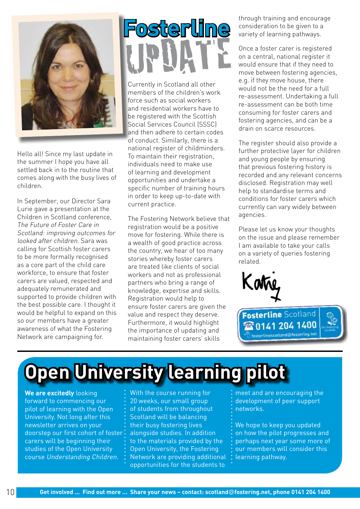

Hello all! Since my last update in the summer I hope you have all settled back in to the routine that comes along with the busy lives of children.

In September, our Director Sara Lurie gave a presentation at the Children in Scotland conference, The Future of Foster Care in Scotland: improving outcomes for looked after children. Sara was calling for Scottish foster carers to be more formally recognised as a core part of the child care workforce, to ensure that foster carers are valued, respected and adequately remunerated and supported to provide children with the best possible care. I thought it would be helpful to expand on this so our members have a greater awareness of what the Fostering Network are campaigning for.

# **Fosterline** update

Currently in Scotland all other members of the children's work force such as social workers and residential workers have to be registered with the Scottish Social Services Council (SSSC) and then adhere to certain codes of conduct. Similarly, there is a national register of childminders. To maintain their registration, individuals need to make use of learning and development opportunities and undertake a specific number of training hours in order to keep up-to-date with current practice.

The Fostering Network believe that registration would be a positive move for fostering. While there is a wealth of good practice across the country, we hear of too many stories whereby foster carers are treated like clients of social workers and not as professional partners who bring a range of knowledge, expertise and skills. Registration would help to ensure foster carers are given the value and respect they deserve. Furthermore, it would highlight the importance of updating and maintaining foster carers' skills

through training and encourage consideration to be given to a variety of learning pathways.

Once a foster carer is registered on a central, national register it would ensure that if they need to move between fostering agencies, e.g. if they move house, there would not be the need for a full re-assessment. Undertaking a full re-assessment can be both time consuming for foster carers and fostering agencies, and can be a drain on scarce resources.

The register should also provide a further protective layer for children and young people by ensuring that previous fostering history is recorded and any relevant concerns disclosed. Registration may well help to standardise terms and conditions for foster carers which currently can vary widely between agencies.

Please let us know your thoughts on the issue and please remember I am available to take your calls on a variety of queries fostering related.





## **Open University learning pilot**

**We are excitedly** looking forward to commencing our pilot of learning with the Open University. Not long after this newsletter arrives on your doorstep our first cohort of foster carers will be beginning their studies of the Open University course Understanding Children.

With the course running for 20 weeks, our small group of students from throughout Scotland will be balancing their busy fostering lives alongside studies. In addition to the materials provided by the Open University, the Fostering Network are providing additional opportunities for the students to

meet and are encouraging the development of peer support networks.

We hope to keep you updated on how the pilot progresses and perhaps next year some more of our members will consider this learning pathway.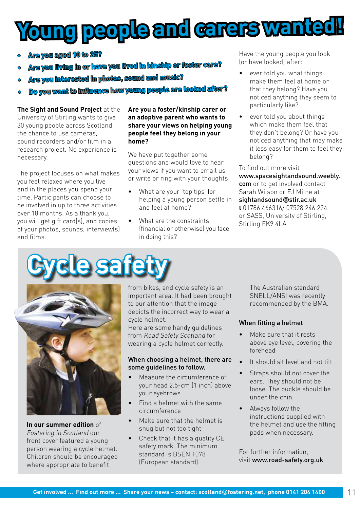# **Young people and carers wanted!**

- **•Are you aged 10 to 25?**
- **•Are you living in or have you lived in kinship or foster care?**
- **Are you interested in photos, sound and music?**
- **•Do you want to influence how young people are looked after?**

### **The Sight and Sound Project** at the University of Stirling wants to give 30 young people across Scotland the chance to use cameras sound recorders and/or film in a research project. No experience is necessary.

The project focuses on what makes you feel relaxed where you live and in the places you spend your time. Participants can choose to be involved in up to three activities over 18 months. As a thank you, you will get gift card(s), and copies of your photos, sounds, interview(s) and films.

### **Are you a foster/kinship carer or an adoptive parent who wants to share your views on helping young people feel they belong in your home?**

We have put together some questions and would love to hear your views if you want to email us or write or ring with your thoughts:

- What are your 'top tips' for helping a young person settle in and feel at home?
- What are the constraints (financial or otherwise) you face in doing this?

Have the young people you look (or have looked) after:

- ever told you what things make them feel at home or that they belong? Have you noticed anything they seem to particularly like?
- ever told you about things which make them feel that they don't belong? Or have you noticed anything that may make it less easy for them to feel they belong?

To find out more visit www.spacesightandsound.weebly. com or to get involved contact Sarah Wilson or EJ Milne at sightandsound**@**stir.ac.uk **t** 01786 466316/ 07528 246 224 or SASS, University of Stirling, Stirling FK9 4LA

# **Safe**



**In our summer edition** of Fostering in Scotland our front cover featured a young person wearing a cycle helmet. Children should be encouraged where appropriate to benefit

from bikes, and cycle safety is an important area. It had been brought to our attention that the image depicts the incorrect way to wear a cycle helmet.

Here are some handy guidelines from Road Safety Scotland for wearing a cycle helmet correctly.

### When choosing a helmet, there are some guidelines to follow.

- Measure the circumference of your head 2.5-cm (1 inch) above your eyebrows
- Find a helmet with the same circumference
- Make sure that the helmet is snug but not too tight
- Check that it has a quality CE safety mark. The minimum standard is BSEN 1078 (European standard).

The Australian standard SNELL/ANSI was recently recommended by the BMA.

### When fitting a helmet

- Make sure that it rests above eye level, covering the forehead
- It should sit level and not tilt
- Straps should not cover the ears. They should not be loose. The buckle should be under the chin.
- Always follow the instructions supplied with the helmet and use the fitting pads when necessary.

For further information, visit www.road-safety.org.uk